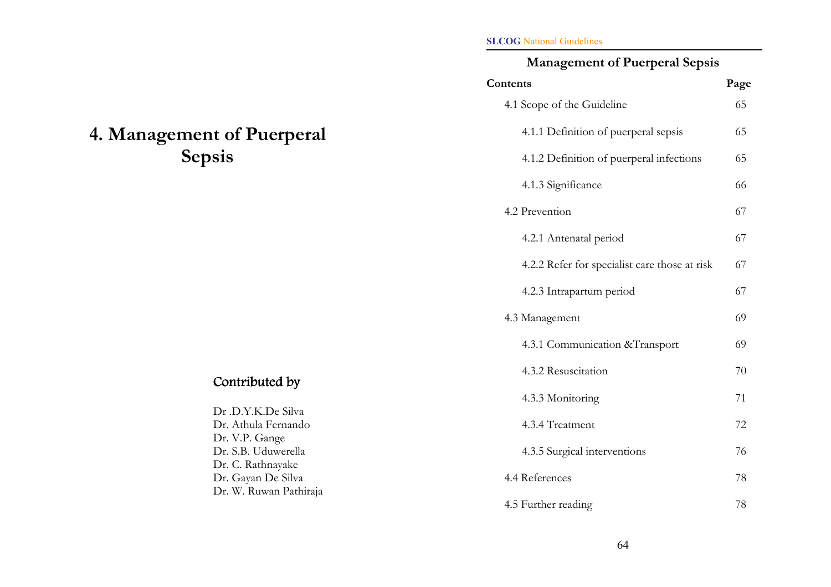# 4. Management of Puerperal Sepsis

#### SLCOG National Guidelines

# Management of Puerperal Sepsis

| Contents                                       | Page |
|------------------------------------------------|------|
| 4.1 Scope of the Guideline                     | 65   |
| 4.1.1 Definition of puerperal sepsis           | 65   |
| 4.1.2 Definition of puerperal infections       | 65   |
| 4.1.3 Significance                             | 66   |
| 4.2 Prevention                                 | 67   |
| 4.2.1 Antenatal period                         | 67   |
| 4.2.2 Refer for specialist care those at risk  | 67   |
| 4.2.3 Intrapartum period                       | 67   |
| 4.3 Management                                 | 69   |
| 4.3.1 Communication & Transport                | 69   |
| 4.3.2 Resuscitation                            | 70   |
| 4.3.3 Monitoring                               | 71   |
| 4.3.4 Treatment                                | 72   |
| 4.3.5 Surgical interventions                   | 76   |
| 4.4 References                                 | 78   |
| $\frac{1}{2}$ Exiting the second $\frac{1}{2}$ | 70   |

# Contributed by

|                        | 4.3.3 Monitoring             |    |
|------------------------|------------------------------|----|
| Dr .D.Y.K.De Silva     |                              |    |
| Dr. Athula Fernando    | 4.3.4 Treatment              | 72 |
| Dr. V.P. Gange         |                              |    |
| Dr. S.B. Uduwerella    | 4.3.5 Surgical interventions | 76 |
| Dr. C. Rathnayake      |                              |    |
| Dr. Gayan De Silva     | 4.4 References               | 78 |
| Dr. W. Ruwan Pathiraja |                              |    |
|                        | 4.5 Further reading          | 78 |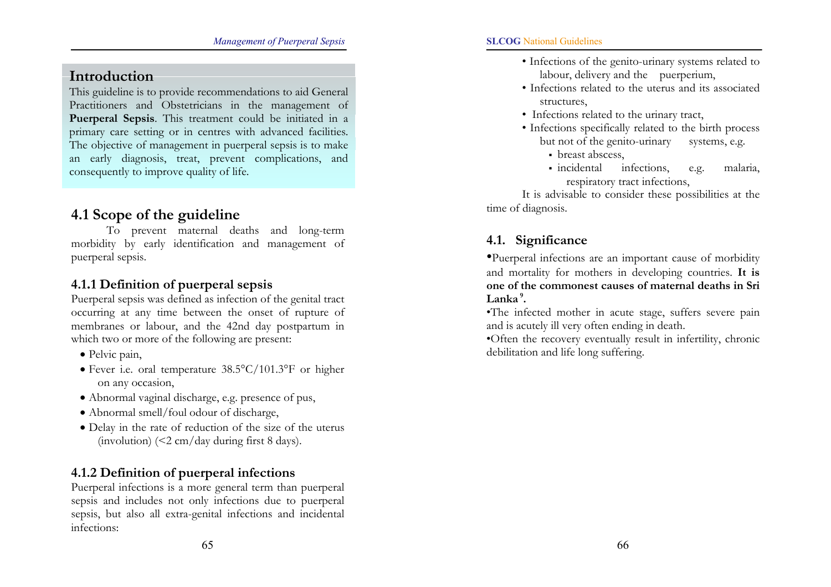# Introduction

This guideline is to provide recommendations to aid General Practitioners and Obstetricians in the management of Puerperal Sepsis. This treatment could be initiated in a primary care setting or in centres with advanced facilities. The objective of management in puerperal sepsis is to make an early diagnosis, treat, prevent complications, and consequently to improve quality of life.

# 4.1 Scope of the guideline

To prevent maternal deaths and long-term morbidity by early identification and management of puerperal sepsis.

### 4.1.1 Definition of puerperal sepsis

Puerperal sepsis was defined as infection of the genital tract occurring at any time between the onset of rupture of membranes or labour, and the 42nd day postpartum in which two or more of the following are present:

- Pelvic pain,
- Fever i.e. oral temperature 38.5°C/101.3°F or higher on any occasion,
- Abnormal vaginal discharge, e.g. presence of pus,
- Abnormal smell/foul odour of discharge,
- Delay in the rate of reduction of the size of the uterus (involution) (<2 cm/day during first 8 days).

### 4.1.2 Definition of puerperal infections

Puerperal infections is a more general term than puerperal sepsis and includes not only infections due to puerperal sepsis, but also all extra-genital infections and incidental infections:

- Infections of the genito-urinary systems related to labour, delivery and the puerperium,
- Infections related to the uterus and its associated structures,
- Infections related to the urinary tract,
- Infections specifically related to the birth process but not of the genito-urinary systems, e.g.
	- breast abscess,
	- incidental infections, e.g. malaria, respiratory tract infections,

It is advisable to consider these possibilities at the time of diagnosis.

# 4.1. Significance

•Puerperal infections are an important cause of morbidity and mortality for mothers in developing countries. It is one of the commonest causes of maternal deaths in Sri Lanka <sup>9</sup>.

•The infected mother in acute stage, suffers severe pain and is acutely ill very often ending in death.

•Often the recovery eventually result in infertility, chronic debilitation and life long suffering.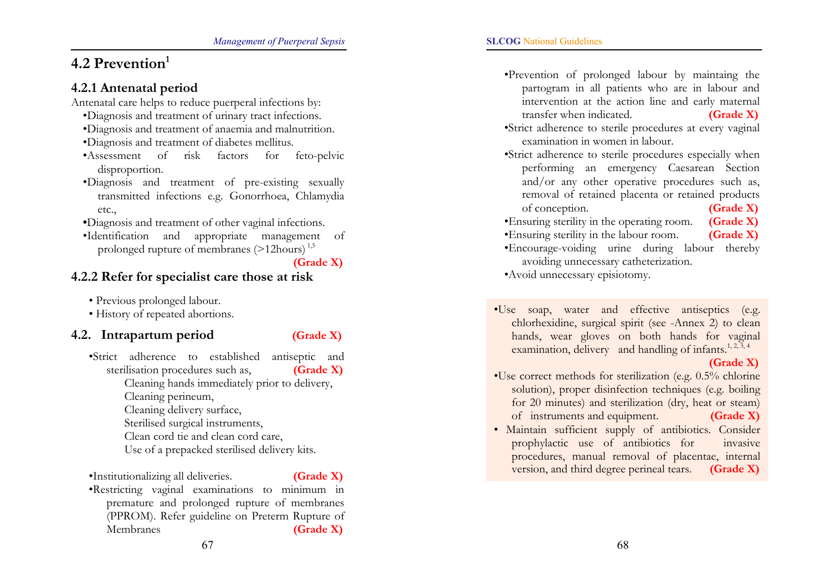# 4.2 Prevention $<sup>1</sup>$ </sup>

### 4.2.1 Antenatal period

Antenatal care helps to reduce puerperal infections by:

- •Diagnosis and treatment of urinary tract infections.
- •Diagnosis and treatment of anaemia and malnutrition.
- •Diagnosis and treatment of diabetes mellitus.
- •Assessment of risk factors for feto-pelvic disproportion.
- •Diagnosis and treatment of pre-existing sexually transmitted infections e.g. Gonorrhoea, Chlamydia etc.,
- •Diagnosis and treatment of other vaginal infections.
- •Identification and appropriate management of prolonged rupture of membranes (>12hours) 1,5

(Grade X)

## 4.2.2 Refer for specialist care those at risk

• Previous prolonged labour.

• History of repeated abortions.

### 4.2. Intrapartum period (Grade X)

- •Strict adherence to established antiseptic and sterilisation procedures such as,  $(Grade X)$ Cleaning hands immediately prior to delivery, Cleaning perineum, Cleaning delivery surface, Sterilised surgical instruments, Clean cord tie and clean cord care, Use of a prepacked sterilised delivery kits.
- •Institutionalizing all deliveries. **(Grade X)** •Restricting vaginal examinations to minimum in premature and prolonged rupture of membranes (PPROM). Refer guideline on Preterm Rupture of Membranes **(Grade X)**
- •Prevention of prolonged labour by maintaing the partogram in all patients who are in labour and intervention at the action line and early maternal transfer when indicated. (Grade X)
- •Strict adherence to sterile procedures at every vaginal examination in women in labour.

•Strict adherence to sterile procedures especially when performing an emergency Caesarean Section and/or any other operative procedures such as, removal of retained placenta or retained products of conception. (Grade X)

- •Ensuring sterility in the operating room. (Grade X)
- •Ensuring sterility in the labour room. (Grade X)
- •Encourage-voiding urine during labour thereby avoiding unnecessary catheterization.

•Avoid unnecessary episiotomy.

•Use soap, water and effective antiseptics (e.g. chlorhexidine, surgical spirit (see -Annex 2) to clean hands, wear gloves on both hands for vaginal examination, delivery and handling of infants.<sup>1, 2, 3, 4</sup>

#### (Grade X)

- •Use correct methods for sterilization (e.g. 0.5% chlorine solution), proper disinfection techniques (e.g. boilin g for 20 minutes) and sterilization (dry, heat or steam) of instruments and equipment. (Grade X)
- Maintain sufficient supply of antibiotics. Consider prophylactic use of antibiotics for invasive procedures, manual removal of placentae, internal version, and third degree perineal tears. (Grade X)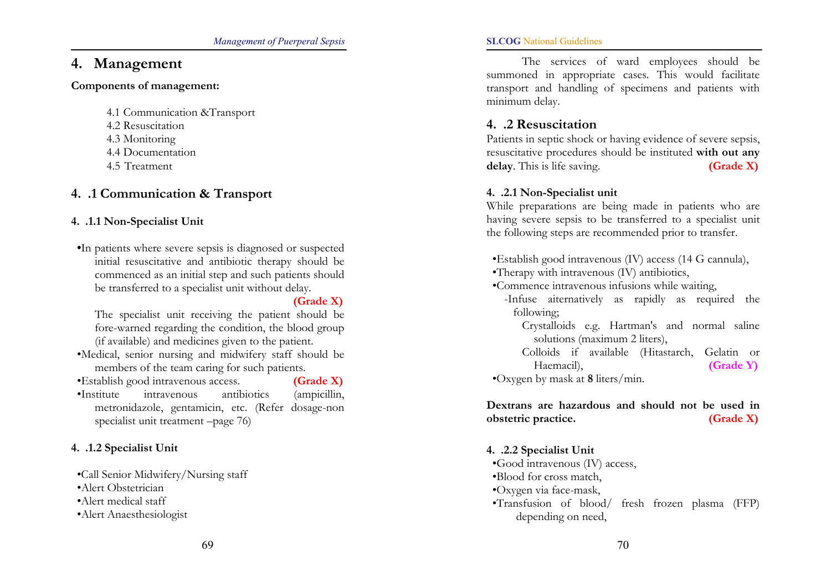# 4. Management

#### Components of management:

4.1 Communication &Transport

- 4.2 Resuscitation
- 4.3 Monitoring
- 4.4 Documentation
- 4.5 Treatment

## 4..1 Communication & Transport

#### 4..1.1 Non-Specialist Unit

•In patients where severe sepsis is diagnosed or suspected initial resuscitative and antibiotic therapy should be commenced as an initial step and such patients should be transferred to a specialist unit without delay.

(Grade X)

The specialist unit receiving the patient should be fore-warned regarding the condition, the blood group (if available) and medicines given to the patient.

•Medical, senior nursing and midwifery staff should be members of the team caring for such patients.

•Establish good intravenous access. **(Grade X)** 

•Institute intravenous antibiotics (ampicillin, metronidazole, gentamicin, etc. (Refer dosage-non specialist unit treatment –page 76)

#### 4..1.2 Specialist Unit

- •Call Senior Midwifery/Nursing staff
- •Alert Obstetrician
- •Alert medical staff
- •Alert Anaesthesiologist

#### SLCOG National Guidelines

The services of ward employees should be summoned in appropriate cases. This would facilitate transport and handling of specimens and patients with minimum delay.

### 4..2 Resuscitation

Patients in septic shock or having evidence of severe sepsis, resuscitative procedures should be instituted with out any delay. This is life saving.  $(Grade X)$ 

#### 4..2.1 Non-Specialist unit

While preparations are being made in patients who are having severe sepsis to be transferred to a specialist unit the following steps are recommended prior to transfer.

•Establish good intravenous (IV) access (14 G cannula),

- •Therapy with intravenous (IV) antibiotics,
- •Commence intravenous infusions while waiting,
	- -Infuse aiternatively as rapidly as required the following;

Crystalloids e.g. Hartman's and normal saline solutions (maximum 2 liters),

Colloids if available (Hitastarch, Gelatin or Haemacil), **(Grade Y)** 

•Oxygen by mask at 8 liters/min.

#### Dextrans are hazardous and should not be used in obstetric practice. (Grade X)

#### 4..2.2 Specialist Unit

- •Good intravenous (IV) access,
- •Blood for cross match,
- •Oxygen via face-mask,
- •Transfusion of blood/ fresh frozen plasma (FFP) depending on need,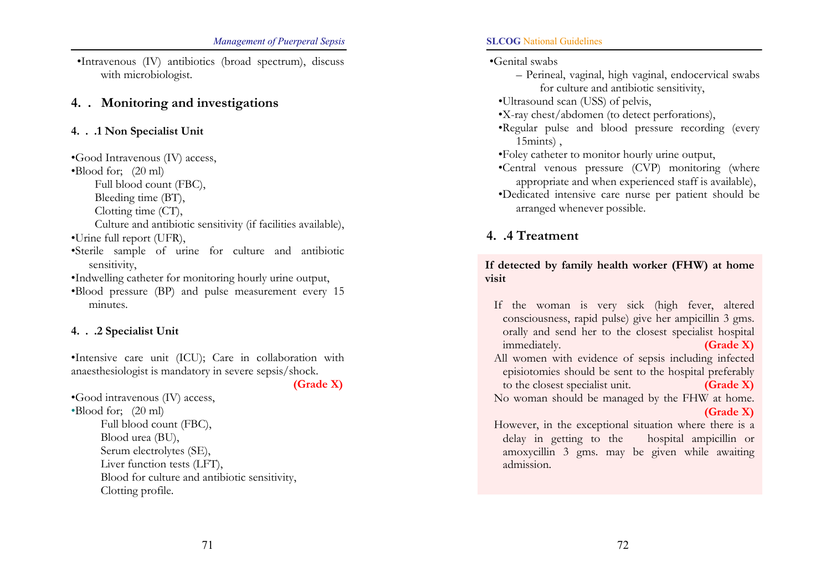•Intravenous (IV) antibiotics (broad spectrum), discuss with microbiologist.

#### 4.. Monitoring and investigations

#### 4...1 Non Specialist Unit

•Good Intravenous (IV) access, •Blood for; (20 ml) Full blood count (FBC), Bleeding time (BT), Clotting time (CT), Culture and antibiotic sensitivity (if facilities available), •Urine full report (UFR), •Sterile sample of urine for culture and antibiotic sensitivity, •Indwelling catheter for monitoring hourly urine output, •Blood pressure (BP) and pulse measurement every 15 minutes.

#### 4...2 Specialist Unit

•Intensive care unit (ICU); Care in collaboration with anaesthesiologist is mandatory in severe sepsis/shock.

(Grade X)

•Good intravenous (IV) access, •Blood for; (20 ml) Full blood count (FBC), Blood urea (BU), Serum electrolytes (SE), Liver function tests (LFT), Blood for culture and antibiotic sensitivity, Clotting profile.

#### SLCOG National Guidelines

•Genital swabs

- Perineal, vaginal, high vaginal, endocervical swabs for culture and antibiotic sensitivity,
- •Ultrasound scan (USS) of pelvis,
- •X-ray chest/abdomen (to detect perforations),
- •Regular pulse and blood pressure recording (every 15mints) ,
- •Foley catheter to monitor hourly urine output,
- •Central venous pressure (CVP) monitoring (where appropriate and when experienced staff is available),
- •Dedicated intensive care nurse per patient should be arranged whenever possible.

# 4..4 Treatment

#### If detected by family health worker (FHW) at home visit

- If the woman is very sick (high fever, altered consciousness, rapid pulse) give her ampicillin 3 gms. orally and send her to the closest specialist hospital immediately. **(Grade X)**
- All women with evidence of sepsis including infected episiotomies should be sent to the hospital preferably to the closest specialist unit. (Grade X)
- No woman should be managed by the FHW at home. (Grade X)
- However, in the exceptional situation where there is a delay in getting to the hospital ampicillin or amoxycillin 3 gms. may be given while awaitin g admission.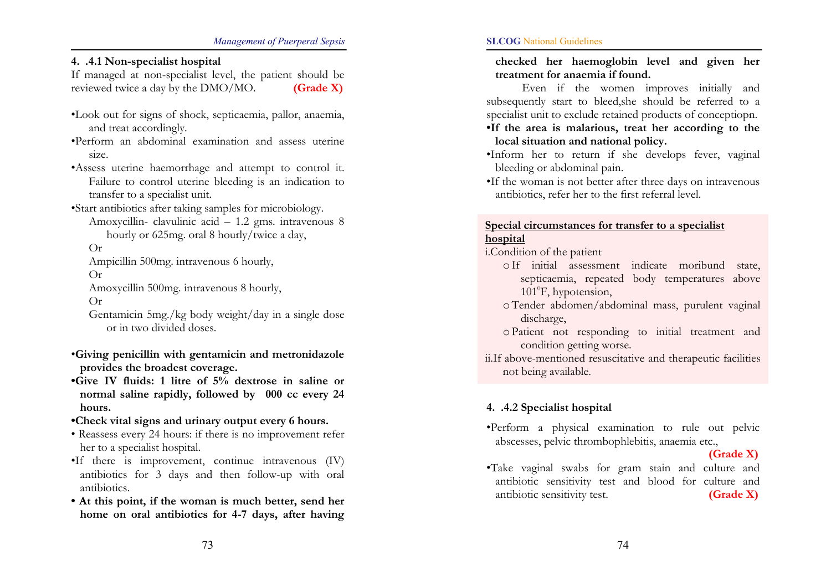4..4.1 Non-specialist hospital

If managed at non-specialist level, the patient should be reviewed twice a day by the  $DMO/MO$ . (Grade X)

- •Look out for signs of shock, septicaemia, pallor, anaemia, and treat accordingly.
- •Perform an abdominal examination and assess uterine size.
- •Assess uterine haemorrhage and attempt to control it. Failure to control uterine bleeding is an indication to transfer to a specialist unit.
- •Start antibiotics after taking samples for microbiology.
	- Amoxycillin- clavulinic acid 1.2 gms. intravenous 8 hourly or 625mg. oral 8 hourly/twice a day,

Or

Ampicillin 500mg. intravenous 6 hourly,

Or

Amoxycillin 500mg. intravenous 8 hourly, Or

Gentamicin 5mg./kg body weight/day in a single dose or in two divided doses.

- •Giving penicillin with gentamicin and metronidazole provides the broadest coverage.
- •Give IV fluids: 1 litre of 5% dextrose in saline or normal saline rapidly, followed by 000 cc every 24 hours.
- •Check vital signs and urinary output every 6 hours.
- Reassess every 24 hours: if there is no improvement refer her to a specialist hospital.
- •If there is improvement, continue intravenous (IV) antibiotics for 3 days and then follow-up with oral antibiotics.
- At this point, if the woman is much better, send her home on oral antibiotics for 4-7 days, after having

checked her haemoglobin level and given her treatment for anaemia if found.

Even if the women improves initially and subsequently start to bleed,she should be referred to a specialist unit to exclude retained products of conceptiopn.

- •If the area is malarious, treat her according to the local situation and national policy.
- •Inform her to return if she develops fever, vaginal bleeding or abdominal pain.
- •If the woman is not better after three days on intravenous antibiotics, refer her to the first referral level.

#### Special circumstances for transfer to a specialist hospital

i.Condition of the patient

- <sup>o</sup>If initial assessment indicate moribund state, septicaemia, repeated body temperatures above  $101^\circ$ F, hypotension,
- o Tender abdomen/abdominal mass, purulent vaginal discharge,
- <sup>o</sup>Patient not responding to initial treatment and condition getting worse.
- ii.If above-mentioned resuscitative and therapeutic facilities not being available.

### 4..4.2 Specialist hospital

•Perform a physical examination to rule out pelvic abscesses, pelvic thrombophlebitis, anaemia etc.,

(Grade X)

•Take vaginal swabs for gram stain and culture and antibiotic sensitivity test and blood for culture and antibiotic sensitivity test. **(Grade X)**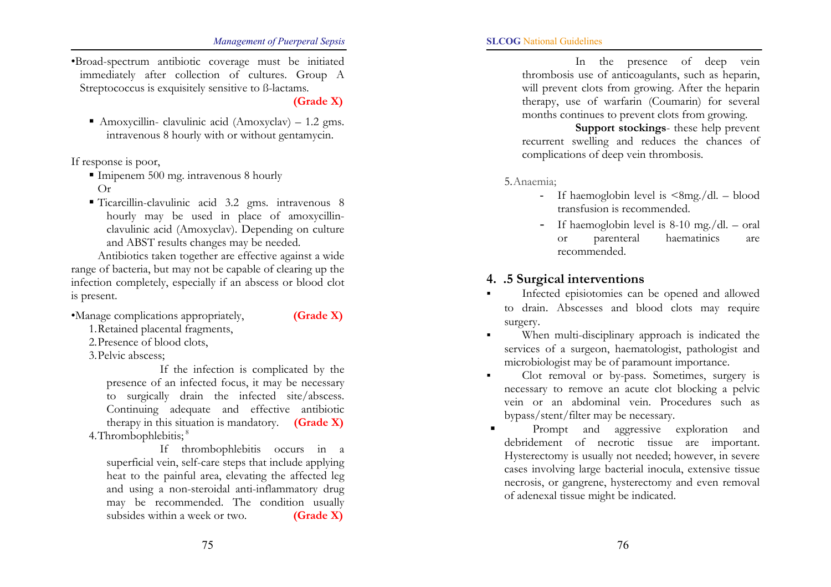•Broad-spectrum antibiotic coverage must be initiated immediately after collection of cultures. Group A Streptococcus is exquisitely sensitive to ß-lactams.

(Grade X)

 Amoxycillin- clavulinic acid (Amoxyclav) – 1.2 gms. intravenous 8 hourly with or without gentamycin.

If response is poor,

- Imipenem 500 mg. intravenous 8 hourly Or
- Ticarcillin-clavulinic acid 3.2 gms. intravenous 8 hourly may be used in place of amoxycillinclavulinic acid (Amoxyclav). Depending on culture and ABST results changes may be needed.

Antibiotics taken together are effective against a wide range of bacteria, but may not be capable of clearing up the infection completely, especially if an abscess or blood clot is present.

•Manage complications appropriately, **(Grade X)** 

1. Retained placental fragments,

2. Presence of blood clots,

3. Pelvic abscess;

If the infection is complicated by the presence of an infected focus, it may be necessary to surgically drain the infected site/abscess. Continuing adequate and effective antibiotic therapy in this situation is mandatory.  $(Grade X)$ 4. Thrombophlebitis;<sup>8</sup>

If thrombophlebitis occurs in a superficial vein, self-care steps that include applying heat to the painful area, elevating the affected leg and using a non-steroidal anti-inflammatory drug may be recommended. The condition usually subsides within a week or two.  $(Grade X)$ 

In the presence of deep vein thrombosis use of anticoagulants, such as heparin, will prevent clots from growing. After the heparin therapy, use of warfarin (Coumarin) for several months continues to prevent clots from growing.

Support stockings- these help prevent recurrent swelling and reduces the chances of complications of deep vein thrombosis.

5. Anaemia;

- If haemoglobin level is  $\langle 8mg/dl blood$ transfusion is recommended.
- If haemoglobin level is 8-10 mg./dl. oral or parenteral haematinics are recommended.

#### 4..5 Surgical interventions

- Infected episiotomies can be opened and allowed to drain. Abscesses and blood clots may require surgery.
- When multi-disciplinary approach is indicated the services of a surgeon, haematologist, pathologist and microbiologist may be of paramount importance.
- Clot removal or by-pass. Sometimes, surgery is necessary to remove an acute clot blocking a pelvic vein or an abdominal vein. Procedures such as bypass/stent/filter may be necessary.
- Prompt and aggressive exploration and debridement of necrotic tissue are important. Hysterectomy is usually not needed; however, in severe cases involving large bacterial inocula, extensive tissue necrosis, or gangrene, hysterectomy and even removal of adenexal tissue might be indicated.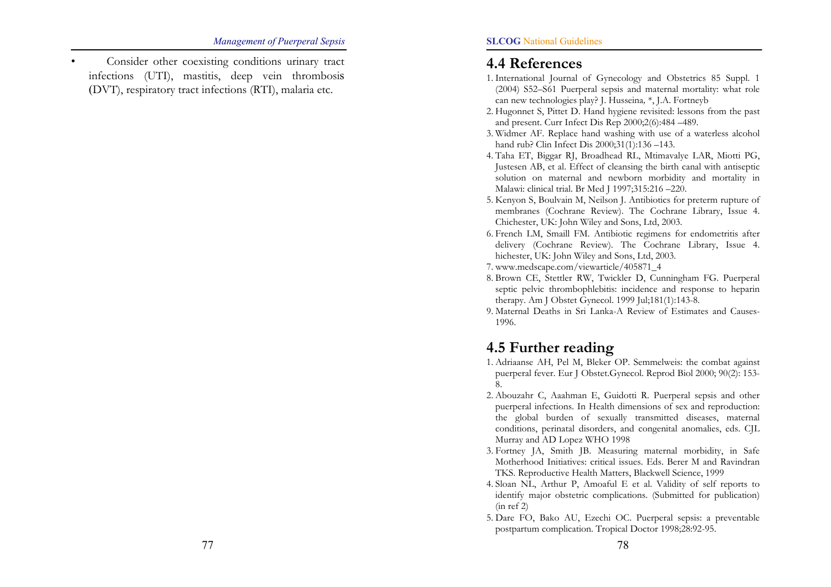Consider other coexisting conditions urinary tract infections (UTI), mastitis, deep vein thrombosi<sup>s</sup> (DVT), respiratory tract infections (RTI), malaria etc.

# 4.4 References

- 1. International Journal of Gynecology and Obstetrics 85 Suppl. 1 (2004) S52–S61 Puerperal sepsis and maternal mortality: what role can new technologies play? J. Husseina*,* \*, J.A. Fortneyb
- 2. Hugonnet S, Pittet D. Hand hygiene revisited: lessons from the past and present. Curr Infect Dis Rep 2000;2(6):484 –489.
- 3. Widmer AF. Replace hand washing with use of a waterless alcohol hand rub? Clin Infect Dis 2000;31(1):136 –143.
- 4. Taha ET, Biggar RJ, Broadhead RL, Mtimavalye LAR, Miotti PG, Justesen AB, et al. Effect of cleansing the birth canal with antiseptic solution on maternal and newborn morbidity and mortality in Malawi: clinical trial. Br Med J 1997;315:216 –220.
- 5. Kenyon S, Boulvain M, Neilson J. Antibiotics for preterm rupture of membranes (Cochrane Review). The Cochrane Library, Issue 4. Chichester, UK: John Wiley and Sons, Ltd, 2003.
- 6. French LM, Smaill FM. Antibiotic regimens for endometritis after delivery (Cochrane Review). The Cochrane Library, Issue 4. hichester, UK: John Wiley and Sons, Ltd, 2003.
- 7. www.medscape.com/viewarticle/405871\_4
- 8. Brown CE, Stettler RW, Twickler D, Cunningham FG. Puerperal septic pelvic thrombophlebitis: incidence and response to heparin therapy. Am J Obstet Gynecol. 1999 Jul;181(1):143-8.
- 9. Maternal Deaths in Sri Lanka-A Review of Estimates and Causes-1996.

# 4.5 Further reading

- 1. Adriaanse AH, Pel M, Bleker OP. Semmelweis: the combat against puerperal fever. Eur J Obstet.Gynecol. Reprod Biol 2000; 90(2): 153- 8.
- 2. Abouzahr C, Aaahman E, Guidotti R. Puerperal sepsis and other puerperal infections. In Health dimensions of sex and reproduction: the global burden of sexually transmitted diseases, maternal conditions, perinatal disorders, and congenital anomalies, eds. CJL Murray and AD Lopez WHO 1998
- 3. Fortney JA, Smith JB. Measuring maternal morbidity, in Safe Motherhood Initiatives: critical issues. Eds. Berer M and Ravindran TKS. Reproductive Health Matters, Blackwell Science, 1999
- 4. Sloan NL, Arthur P, Amoaful E et al. Validity of self reports to identify major obstetric complications. (Submitted for publication) (in ref 2)
- 5. Dare FO, Bako AU, Ezechi OC. Puerperal sepsis: a preventable postpartum complication. Tropical Doctor 1998;28:92-95.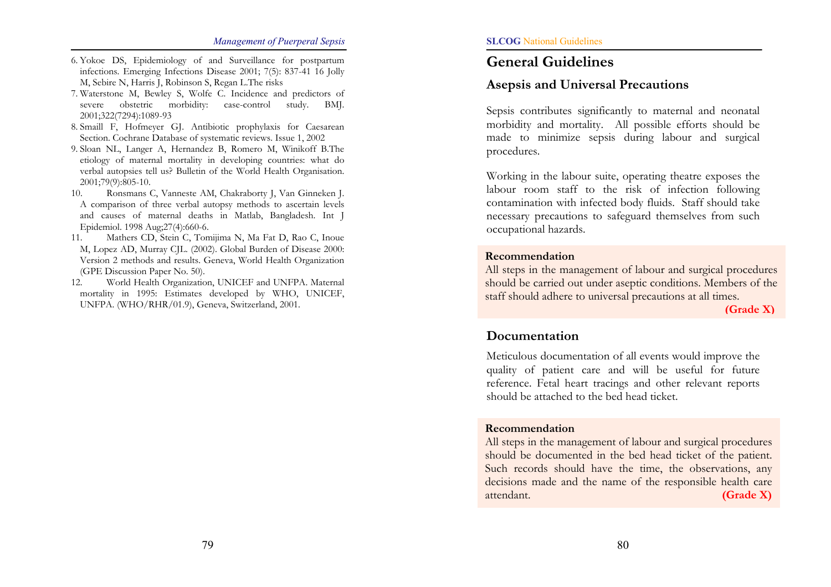- 6. Yokoe DS, Epidemiology of and Surveillance for postpartum infections. Emerging Infections Disease 2001; 7(5): 837-41 16 Jolly M, Sebire N, Harris J, Robinson S, Regan L.The risks
- 7. Waterstone M, Bewley S, Wolfe C. Incidence and predictors of severe obstetric morbidity: case-control study. BMJ. 2001;322(7294):1089-93
- 8. Smaill F, Hofmeyer GJ. Antibiotic prophylaxis for Caesarean Section. Cochrane Database of systematic reviews. Issue 1, 2002
- 9. Sloan NL, Langer A, Hernandez B, Romero M, Winikoff B.The etiology of maternal mortality in developing countries: what do verbal autopsies tell us? Bulletin of the World Health Organisation. 2001;79(9):805-10.
- 10. Ronsmans C, Vanneste AM, Chakraborty J, Van Ginneken J. A comparison of three verbal autopsy methods to ascertain levels and causes of maternal deaths in Matlab, Bangladesh. Int J Epidemiol. 1998 Aug;27(4):660-6.
- 11. Mathers CD, Stein C, Tomijima N, Ma Fat D, Rao C, Inoue M, Lopez AD, Murray CJL. (2002). Global Burden of Disease 2000: Version 2 methods and results. Geneva, World Health Organization (GPE Discussion Paper No. 50).
- 12. World Health Organization, UNICEF and UNFPA. Maternal mortality in 1995: Estimates developed by WHO, UNICEF, UNFPA. (WHO/RHR/01.9), Geneva, Switzerland, 2001.

# General Guidelines

### Asepsis and Universal Precautions

Sepsis contributes significantly to maternal and neonatal morbidity and mortality. All possible efforts should be made to minimize sepsis during labour and surgical procedures.

Working in the labour suite, operating theatre exposes the labour room staff to the risk of infection following contamination with infected body fluids. Staff should take necessary precautions to safeguard themselves from such occupational hazards.

#### Recommendation

All steps in the management of labour and surgical procedures should be carried out under aseptic conditions. Members of the staff should adhere to universal precautions at all times.

(Grade X)

### Documentation

Meticulous documentation of all events would improve the quality of patient care and will be useful for future reference. Fetal heart tracings and other relevant reports should be attached to the bed head ticket.

#### Recommendation

All steps in the management of labour and surgical procedures should be documented in the bed head ticket of the patient. Such records should have the time, the observations, any decisions made and the name of the responsible health care attendant. **(Grade X)**